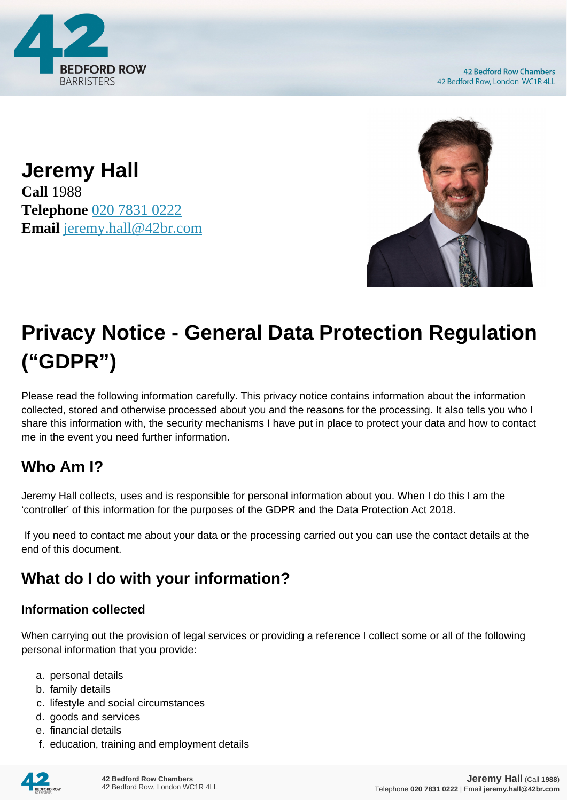

**42 Bedford Row Chambers** 42 Bedford Row, London WC1R 4LL

**Jeremy Hall Call** 1988 **Telephone** [020 7831 0222](https://pdf.codeshore.co/_42br/tel:020 7831 0222) **Email** [jeremy.hall@42br.com](mailto:jeremy.hall@42br.com)



# **Privacy Notice - General Data Protection Regulation ("GDPR")**

Please read the following information carefully. This privacy notice contains information about the information collected, stored and otherwise processed about you and the reasons for the processing. It also tells you who I share this information with, the security mechanisms I have put in place to protect your data and how to contact me in the event you need further information.

# **Who Am I?**

Jeremy Hall collects, uses and is responsible for personal information about you. When I do this I am the 'controller' of this information for the purposes of the GDPR and the Data Protection Act 2018.

 If you need to contact me about your data or the processing carried out you can use the contact details at the end of this document.

# **What do I do with your information?**

#### **Information collected**

When carrying out the provision of legal services or providing a reference I collect some or all of the following personal information that you provide:

- a. personal details
- b. family details
- c. lifestyle and social circumstances
- d. goods and services
- e. financial details
- f. education, training and employment details

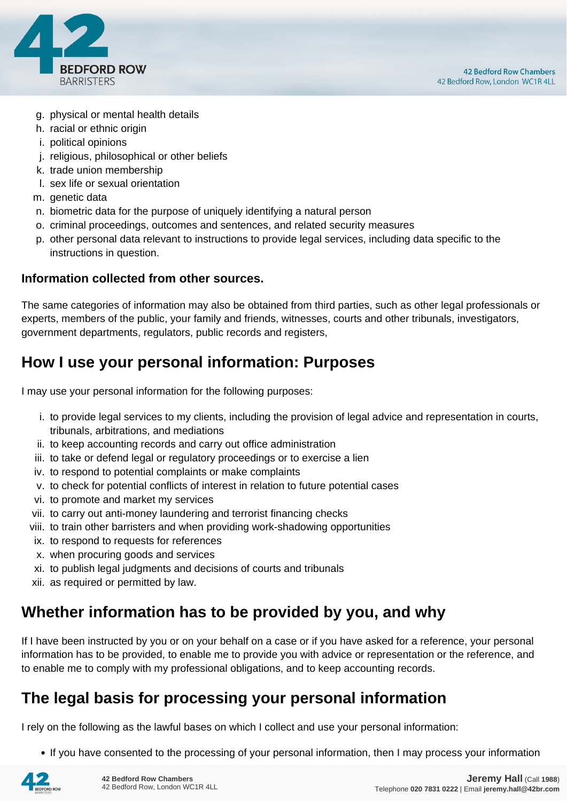

- g. physical or mental health details
- h. racial or ethnic origin
- i. political opinions
- j. religious, philosophical or other beliefs
- k. trade union membership
- l. sex life or sexual orientation
- m. genetic data
- n. biometric data for the purpose of uniquely identifying a natural person
- o. criminal proceedings, outcomes and sentences, and related security measures
- p. other personal data relevant to instructions to provide legal services, including data specific to the instructions in question.

#### **Information collected from other sources.**

The same categories of information may also be obtained from third parties, such as other legal professionals or experts, members of the public, your family and friends, witnesses, courts and other tribunals, investigators, government departments, regulators, public records and registers,

# **How I use your personal information: Purposes**

I may use your personal information for the following purposes:

- i. to provide legal services to my clients, including the provision of legal advice and representation in courts, tribunals, arbitrations, and mediations
- ii. to keep accounting records and carry out office administration
- iii. to take or defend legal or regulatory proceedings or to exercise a lien
- iv. to respond to potential complaints or make complaints
- v. to check for potential conflicts of interest in relation to future potential cases
- vi. to promote and market my services
- vii. to carry out anti-money laundering and terrorist financing checks
- viii. to train other barristers and when providing work-shadowing opportunities
- ix. to respond to requests for references
- x. when procuring goods and services
- xi. to publish legal judgments and decisions of courts and tribunals
- xii. as required or permitted by law.

# **Whether information has to be provided by you, and why**

If I have been instructed by you or on your behalf on a case or if you have asked for a reference, your personal information has to be provided, to enable me to provide you with advice or representation or the reference, and to enable me to comply with my professional obligations, and to keep accounting records.

# **The legal basis for processing your personal information**

I rely on the following as the lawful bases on which I collect and use your personal information:

• If you have consented to the processing of your personal information, then I may process your information

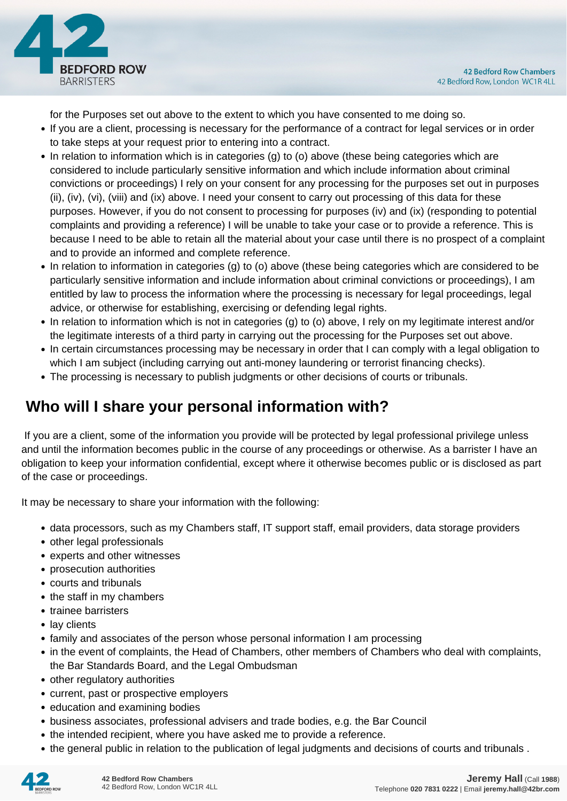

for the Purposes set out above to the extent to which you have consented to me doing so.

- If you are a client, processing is necessary for the performance of a contract for legal services or in order to take steps at your request prior to entering into a contract.
- In relation to information which is in categories (g) to (o) above (these being categories which are considered to include particularly sensitive information and which include information about criminal convictions or proceedings) I rely on your consent for any processing for the purposes set out in purposes (ii), (iv), (vi), (viii) and (ix) above. I need your consent to carry out processing of this data for these purposes. However, if you do not consent to processing for purposes (iv) and (ix) (responding to potential complaints and providing a reference) I will be unable to take your case or to provide a reference. This is because I need to be able to retain all the material about your case until there is no prospect of a complaint and to provide an informed and complete reference.
- In relation to information in categories (g) to (o) above (these being categories which are considered to be particularly sensitive information and include information about criminal convictions or proceedings), I am entitled by law to process the information where the processing is necessary for legal proceedings, legal advice, or otherwise for establishing, exercising or defending legal rights.
- In relation to information which is not in categories (g) to (o) above, I rely on my legitimate interest and/or the legitimate interests of a third party in carrying out the processing for the Purposes set out above.
- In certain circumstances processing may be necessary in order that I can comply with a legal obligation to which I am subject (including carrying out anti-money laundering or terrorist financing checks).
- The processing is necessary to publish judgments or other decisions of courts or tribunals.

# **Who will I share your personal information with?**

 If you are a client, some of the information you provide will be protected by legal professional privilege unless and until the information becomes public in the course of any proceedings or otherwise. As a barrister I have an obligation to keep your information confidential, except where it otherwise becomes public or is disclosed as part of the case or proceedings.

It may be necessary to share your information with the following:

- data processors, such as my Chambers staff, IT support staff, email providers, data storage providers
- other legal professionals
- experts and other witnesses
- prosecution authorities
- courts and tribunals
- the staff in my chambers
- trainee barristers
- lay clients
- family and associates of the person whose personal information I am processing
- in the event of complaints, the Head of Chambers, other members of Chambers who deal with complaints, the Bar Standards Board, and the Legal Ombudsman
- other regulatory authorities
- current, past or prospective employers
- education and examining bodies
- business associates, professional advisers and trade bodies, e.g. the Bar Council
- the intended recipient, where you have asked me to provide a reference.
- the general public in relation to the publication of legal judgments and decisions of courts and tribunals .

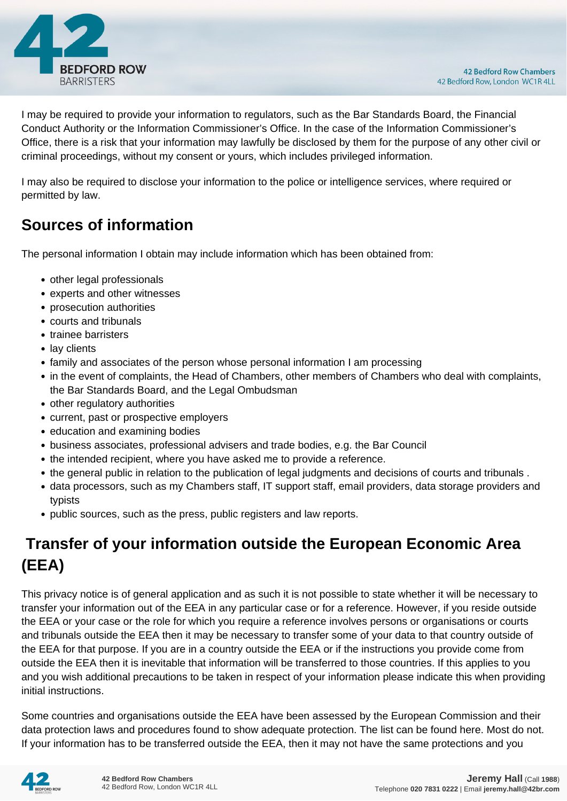

I may be required to provide your information to regulators, such as the Bar Standards Board, the Financial Conduct Authority or the Information Commissioner's Office. In the case of the Information Commissioner's Office, there is a risk that your information may lawfully be disclosed by them for the purpose of any other civil or criminal proceedings, without my consent or yours, which includes privileged information.

I may also be required to disclose your information to the police or intelligence services, where required or permitted by law.

# **Sources of information**

The personal information I obtain may include information which has been obtained from:

- other legal professionals
- experts and other witnesses
- prosecution authorities
- courts and tribunals
- trainee barristers
- lay clients
- family and associates of the person whose personal information I am processing
- in the event of complaints, the Head of Chambers, other members of Chambers who deal with complaints, the Bar Standards Board, and the Legal Ombudsman
- other regulatory authorities
- current, past or prospective employers
- education and examining bodies
- business associates, professional advisers and trade bodies, e.g. the Bar Council
- the intended recipient, where you have asked me to provide a reference.
- the general public in relation to the publication of legal judgments and decisions of courts and tribunals .
- data processors, such as my Chambers staff, IT support staff, email providers, data storage providers and typists
- public sources, such as the press, public registers and law reports.

# **Transfer of your information outside the European Economic Area (EEA)**

This privacy notice is of general application and as such it is not possible to state whether it will be necessary to transfer your information out of the EEA in any particular case or for a reference. However, if you reside outside the EEA or your case or the role for which you require a reference involves persons or organisations or courts and tribunals outside the EEA then it may be necessary to transfer some of your data to that country outside of the EEA for that purpose. If you are in a country outside the EEA or if the instructions you provide come from outside the EEA then it is inevitable that information will be transferred to those countries. If this applies to you and you wish additional precautions to be taken in respect of your information please indicate this when providing initial instructions.

Some countries and organisations outside the EEA have been assessed by the European Commission and their data protection laws and procedures found to show adequate protection. The list can be found here. Most do not. If your information has to be transferred outside the EEA, then it may not have the same protections and you

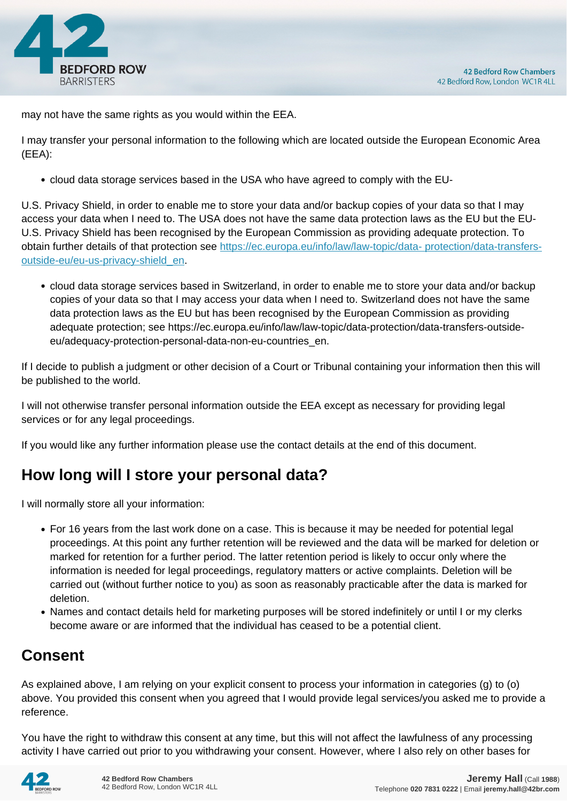

may not have the same rights as you would within the EEA.

I may transfer your personal information to the following which are located outside the European Economic Area (EEA):

cloud data storage services based in the USA who have agreed to comply with the EU-

U.S. Privacy Shield, in order to enable me to store your data and/or backup copies of your data so that I may access your data when I need to. The USA does not have the same data protection laws as the EU but the EU-U.S. Privacy Shield has been recognised by the European Commission as providing adequate protection. To obtain further details of that protection see [https://ec.europa.eu/info/law/law-topic/data- protection/data-transfers](https://ec.europa.eu/info/law/law-topic/data- protection/data-transfers-outside-eu/eu-us-privacy-shield_en)[outside-eu/eu-us-privacy-shield\\_en.](https://ec.europa.eu/info/law/law-topic/data- protection/data-transfers-outside-eu/eu-us-privacy-shield_en)

cloud data storage services based in Switzerland, in order to enable me to store your data and/or backup copies of your data so that I may access your data when I need to. Switzerland does not have the same data protection laws as the EU but has been recognised by the European Commission as providing adequate protection; see https://ec.europa.eu/info/law/law-topic/data-protection/data-transfers-outsideeu/adequacy-protection-personal-data-non-eu-countries\_en.

If I decide to publish a judgment or other decision of a Court or Tribunal containing your information then this will be published to the world.

I will not otherwise transfer personal information outside the EEA except as necessary for providing legal services or for any legal proceedings.

If you would like any further information please use the contact details at the end of this document.

# **How long will I store your personal data?**

I will normally store all your information:

- For 16 years from the last work done on a case. This is because it may be needed for potential legal proceedings. At this point any further retention will be reviewed and the data will be marked for deletion or marked for retention for a further period. The latter retention period is likely to occur only where the information is needed for legal proceedings, regulatory matters or active complaints. Deletion will be carried out (without further notice to you) as soon as reasonably practicable after the data is marked for deletion.
- Names and contact details held for marketing purposes will be stored indefinitely or until I or my clerks become aware or are informed that the individual has ceased to be a potential client.

# **Consent**

As explained above, I am relying on your explicit consent to process your information in categories (g) to (o) above. You provided this consent when you agreed that I would provide legal services/you asked me to provide a reference.

You have the right to withdraw this consent at any time, but this will not affect the lawfulness of any processing activity I have carried out prior to you withdrawing your consent. However, where I also rely on other bases for

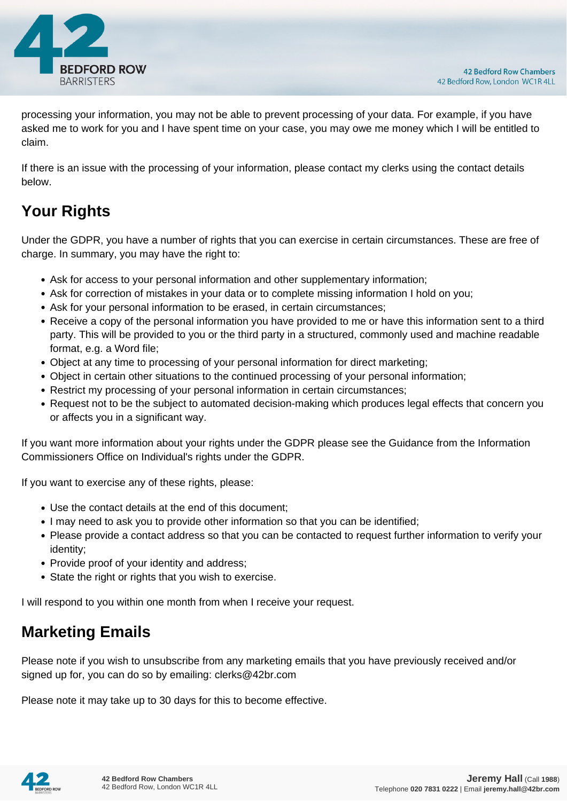

processing your information, you may not be able to prevent processing of your data. For example, if you have asked me to work for you and I have spent time on your case, you may owe me money which I will be entitled to claim.

If there is an issue with the processing of your information, please contact my clerks using the contact details below.

# **Your Rights**

Under the GDPR, you have a number of rights that you can exercise in certain circumstances. These are free of charge. In summary, you may have the right to:

- Ask for access to your personal information and other supplementary information;
- Ask for correction of mistakes in your data or to complete missing information I hold on you;
- Ask for your personal information to be erased, in certain circumstances;
- Receive a copy of the personal information you have provided to me or have this information sent to a third party. This will be provided to you or the third party in a structured, commonly used and machine readable format, e.g. a Word file;
- Object at any time to processing of your personal information for direct marketing;
- Object in certain other situations to the continued processing of your personal information;
- Restrict my processing of your personal information in certain circumstances;
- Request not to be the subject to automated decision-making which produces legal effects that concern you or affects you in a significant way.

If you want more information about your rights under the GDPR please see the Guidance from the Information Commissioners Office on Individual's rights under the GDPR.

If you want to exercise any of these rights, please:

- Use the contact details at the end of this document;
- I may need to ask you to provide other information so that you can be identified;
- Please provide a contact address so that you can be contacted to request further information to verify your identity;
- Provide proof of your identity and address;
- State the right or rights that you wish to exercise.

I will respond to you within one month from when I receive your request.

# **Marketing Emails**

Please note if you wish to unsubscribe from any marketing emails that you have previously received and/or signed up for, you can do so by emailing: clerks@42br.com

Please note it may take up to 30 days for this to become effective.